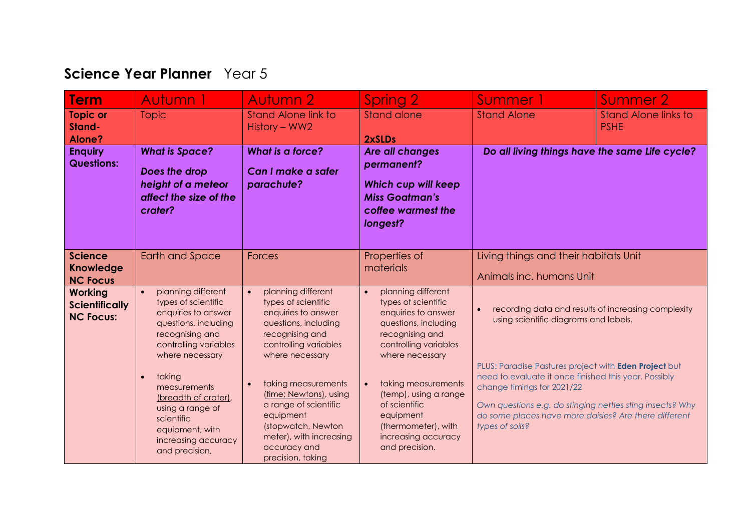## **Science Year Planner** Year 5

| <b>Term</b>                                                 | Autumn 1                                                                                                                                                                                                                                                                                                                          | <b>Autumn 2</b>                                                                                                                                                                                                                                                                                                                                                | Spring 2                                                                                                                                                                                                                                                                                                           | Summer 1                                                                                                                                                                                                                                                                                                                                    | Summer 2                                            |
|-------------------------------------------------------------|-----------------------------------------------------------------------------------------------------------------------------------------------------------------------------------------------------------------------------------------------------------------------------------------------------------------------------------|----------------------------------------------------------------------------------------------------------------------------------------------------------------------------------------------------------------------------------------------------------------------------------------------------------------------------------------------------------------|--------------------------------------------------------------------------------------------------------------------------------------------------------------------------------------------------------------------------------------------------------------------------------------------------------------------|---------------------------------------------------------------------------------------------------------------------------------------------------------------------------------------------------------------------------------------------------------------------------------------------------------------------------------------------|-----------------------------------------------------|
| <b>Topic or</b><br>Stand-<br>Alone?                         | <b>Topic</b>                                                                                                                                                                                                                                                                                                                      | <b>Stand Alone link to</b><br>History - WW2                                                                                                                                                                                                                                                                                                                    | Stand alone<br>2xSLDs                                                                                                                                                                                                                                                                                              | <b>Stand Alone</b>                                                                                                                                                                                                                                                                                                                          | <b>Stand Alone links to</b><br><b>PSHE</b>          |
| <b>Enquiry</b><br><b>Questions:</b>                         | <b>What is Space?</b><br>Does the drop<br>height of a meteor<br>affect the size of the<br>crater?                                                                                                                                                                                                                                 | What is a force?<br>Can I make a safer<br>parachute?                                                                                                                                                                                                                                                                                                           | Are all changes<br>permanent?<br><b>Which cup will keep</b><br><b>Miss Goatman's</b><br>coffee warmest the<br>longest?                                                                                                                                                                                             | Do all living things have the same Life cycle?                                                                                                                                                                                                                                                                                              |                                                     |
| <b>Science</b><br><b>Knowledge</b><br><b>NC Focus</b>       | <b>Earth and Space</b>                                                                                                                                                                                                                                                                                                            | Forces                                                                                                                                                                                                                                                                                                                                                         | Properties of<br>materials                                                                                                                                                                                                                                                                                         | Living things and their habitats Unit<br>Animals inc. humans Unit                                                                                                                                                                                                                                                                           |                                                     |
| <b>Working</b><br><b>Scientifically</b><br><b>NC Focus:</b> | planning different<br>$\bullet$<br>types of scientific<br>enquiries to answer<br>questions, including<br>recognising and<br>controlling variables<br>where necessary<br>taking<br>$\bullet$<br>measurements<br>(breadth of crater),<br>using a range of<br>scientific<br>equipment, with<br>increasing accuracy<br>and precision, | planning different<br>$\bullet$<br>types of scientific<br>enquiries to answer<br>questions, including<br>recognising and<br>controlling variables<br>where necessary<br>taking measurements<br>$\bullet$<br>(time; Newtons), using<br>a range of scientific<br>equipment<br>(stopwatch, Newton<br>meter), with increasing<br>accuracy and<br>precision, taking | planning different<br>$\bullet$<br>types of scientific<br>enquiries to answer<br>questions, including<br>recognising and<br>controlling variables<br>where necessary<br>taking measurements<br>(temp), using a range<br>of scientific<br>equipment<br>(thermometer), with<br>increasing accuracy<br>and precision. | $\bullet$<br>using scientific diagrams and labels.<br>PLUS: Paradise Pastures project with Eden Project but<br>need to evaluate it once finished this year. Possibly<br>change timings for 2021/22<br>Own questions e.g. do stinging nettles sting insects? Why<br>do some places have more daisies? Are there different<br>types of soils? | recording data and results of increasing complexity |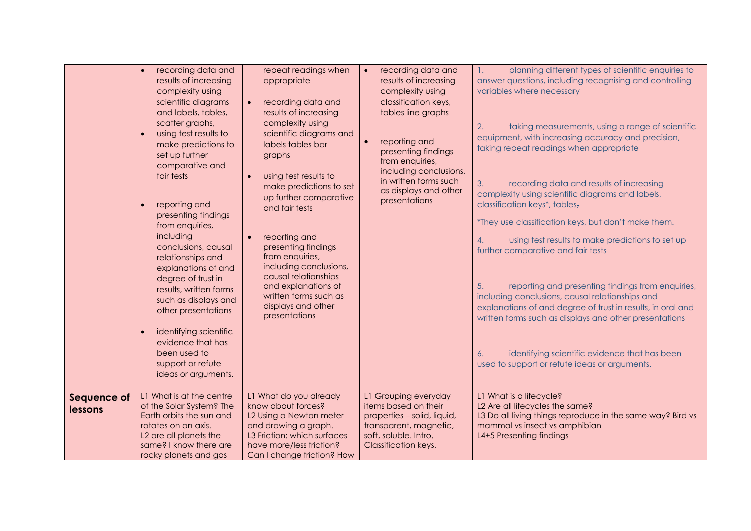| planning different types of scientific enquiries to<br>recording data and<br>repeat readings when<br>recording data and<br>$\bullet$<br>answer questions, including recognising and controlling<br>results of increasing<br>results of increasing<br>appropriate<br>variables where necessary<br>complexity using<br>complexity using<br>scientific diagrams<br>recording data and<br>classification keys,<br>$\bullet$<br>and labels, tables,<br>results of increasing<br>tables line graphs<br>scatter graphs,<br>complexity using<br>taking measurements, using a range of scientific<br>2.<br>using test results to<br>scientific diagrams and<br>$\bullet$<br>equipment, with increasing accuracy and precision,<br>reporting and<br>make predictions to<br>labels tables bar<br>taking repeat readings when appropriate<br>presenting findings<br>set up further<br>graphs<br>from enquiries,<br>comparative and<br>including conclusions,<br>fair tests<br>using test results to<br>$\bullet$<br>in written forms such<br>3.<br>recording data and results of increasing<br>make predictions to set<br>as displays and other<br>complexity using scientific diagrams and labels,<br>up further comparative<br>presentations<br>classification keys*, tables,<br>reporting and<br>and fair tests<br>presenting findings<br>*They use classification keys, but don't make them.<br>from enquiries,<br>including<br>reporting and<br>$\bullet$<br>using test results to make predictions to set up<br>4. |
|--------------------------------------------------------------------------------------------------------------------------------------------------------------------------------------------------------------------------------------------------------------------------------------------------------------------------------------------------------------------------------------------------------------------------------------------------------------------------------------------------------------------------------------------------------------------------------------------------------------------------------------------------------------------------------------------------------------------------------------------------------------------------------------------------------------------------------------------------------------------------------------------------------------------------------------------------------------------------------------------------------------------------------------------------------------------------------------------------------------------------------------------------------------------------------------------------------------------------------------------------------------------------------------------------------------------------------------------------------------------------------------------------------------------------------------------------------------------------------------------------------------|
| conclusions, causal<br>presenting findings<br>further comparative and fair tests<br>from enquiries,<br>relationships and<br>including conclusions,<br>explanations of and<br>causal relationships<br>degree of trust in<br>and explanations of<br>reporting and presenting findings from enquiries,<br>5.<br>results, written forms<br>written forms such as<br>including conclusions, causal relationships and<br>such as displays and<br>displays and other<br>explanations of and degree of trust in results, in oral and<br>other presentations<br>presentations<br>written forms such as displays and other presentations<br>identifying scientific<br>$\bullet$<br>evidence that has<br>been used to<br>identifying scientific evidence that has been<br>6.<br>support or refute<br>used to support or refute ideas or arguments.<br>ideas or arguments.                                                                                                                                                                                                                                                                                                                                                                                                                                                                                                                                                                                                                                               |
| L1 What is at the centre<br>L1 What is a lifecycle?<br>L1 What do you already<br>L1 Grouping everyday<br>Sequence of                                                                                                                                                                                                                                                                                                                                                                                                                                                                                                                                                                                                                                                                                                                                                                                                                                                                                                                                                                                                                                                                                                                                                                                                                                                                                                                                                                                         |
| L2 Are all lifecycles the same?<br>of the Solar System? The<br>know about forces?<br>items based on their<br>lessons<br>Earth orbits the sun and<br>L2 Using a Newton meter<br>properties - solid, liquid,<br>L3 Do all living things reproduce in the same way? Bird vs                                                                                                                                                                                                                                                                                                                                                                                                                                                                                                                                                                                                                                                                                                                                                                                                                                                                                                                                                                                                                                                                                                                                                                                                                                     |
|                                                                                                                                                                                                                                                                                                                                                                                                                                                                                                                                                                                                                                                                                                                                                                                                                                                                                                                                                                                                                                                                                                                                                                                                                                                                                                                                                                                                                                                                                                              |
| rotates on an axis.<br>and drawing a graph.<br>transparent, magnetic,<br>mammal vs insect vs amphibian                                                                                                                                                                                                                                                                                                                                                                                                                                                                                                                                                                                                                                                                                                                                                                                                                                                                                                                                                                                                                                                                                                                                                                                                                                                                                                                                                                                                       |
| L3 Friction: which surfaces<br>soft, soluble. Intro.<br>L2 are all planets the<br>L4+5 Presenting findings<br>same? I know there are<br>have more/less friction?<br>Classification keys.                                                                                                                                                                                                                                                                                                                                                                                                                                                                                                                                                                                                                                                                                                                                                                                                                                                                                                                                                                                                                                                                                                                                                                                                                                                                                                                     |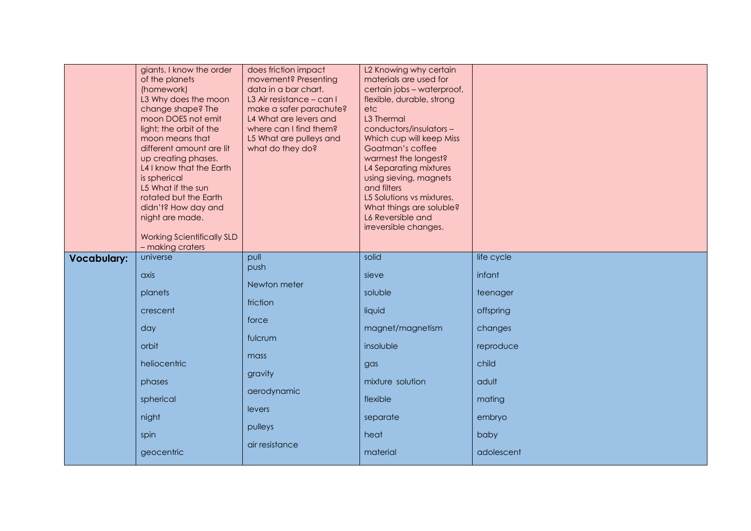|                    | giants. I know the order<br>of the planets<br>(homework)<br>L3 Why does the moon<br>change shape? The<br>moon DOES not emit<br>light; the orbit of the<br>moon means that<br>different amount are lit<br>up creating phases.<br>L4 I know that the Earth<br>is spherical<br>L5 What if the sun<br>rotated but the Earth<br>didn't? How day and<br>night are made.<br><b>Working Scientifically SLD</b><br>- making craters | does friction impact<br>movement? Presenting<br>data in a bar chart.<br>L3 Air resistance - can I<br>make a safer parachute?<br>L4 What are levers and<br>where can I find them?<br>L5 What are pulleys and<br>what do they do? | L2 Knowing why certain<br>materials are used for<br>certain jobs - waterproof,<br>flexible, durable, strong<br>etc<br>L3 Thermal<br>conductors/insulators-<br>Which cup will keep Miss<br>Goatman's coffee<br>warmest the longest?<br>L4 Separating mixtures<br>using sieving, magnets<br>and filters<br>L5 Solutions vs mixtures.<br>What things are soluble?<br>L6 Reversible and<br>irreversible changes. |            |
|--------------------|----------------------------------------------------------------------------------------------------------------------------------------------------------------------------------------------------------------------------------------------------------------------------------------------------------------------------------------------------------------------------------------------------------------------------|---------------------------------------------------------------------------------------------------------------------------------------------------------------------------------------------------------------------------------|--------------------------------------------------------------------------------------------------------------------------------------------------------------------------------------------------------------------------------------------------------------------------------------------------------------------------------------------------------------------------------------------------------------|------------|
| <b>Vocabulary:</b> | universe                                                                                                                                                                                                                                                                                                                                                                                                                   | pull                                                                                                                                                                                                                            | solid                                                                                                                                                                                                                                                                                                                                                                                                        | life cycle |
|                    | axis                                                                                                                                                                                                                                                                                                                                                                                                                       | push                                                                                                                                                                                                                            | sieve                                                                                                                                                                                                                                                                                                                                                                                                        | infant     |
|                    | planets                                                                                                                                                                                                                                                                                                                                                                                                                    | Newton meter                                                                                                                                                                                                                    | soluble                                                                                                                                                                                                                                                                                                                                                                                                      | teenager   |
|                    | crescent                                                                                                                                                                                                                                                                                                                                                                                                                   | friction                                                                                                                                                                                                                        | liquid                                                                                                                                                                                                                                                                                                                                                                                                       | offspring  |
|                    | day                                                                                                                                                                                                                                                                                                                                                                                                                        | force                                                                                                                                                                                                                           | magnet/magnetism                                                                                                                                                                                                                                                                                                                                                                                             | changes    |
|                    | orbit                                                                                                                                                                                                                                                                                                                                                                                                                      | fulcrum                                                                                                                                                                                                                         | insoluble                                                                                                                                                                                                                                                                                                                                                                                                    | reproduce  |
|                    | heliocentric                                                                                                                                                                                                                                                                                                                                                                                                               | mass                                                                                                                                                                                                                            | gas                                                                                                                                                                                                                                                                                                                                                                                                          | child      |
|                    | phases                                                                                                                                                                                                                                                                                                                                                                                                                     | gravity                                                                                                                                                                                                                         | mixture solution                                                                                                                                                                                                                                                                                                                                                                                             | adult      |
|                    | spherical                                                                                                                                                                                                                                                                                                                                                                                                                  | aerodynamic                                                                                                                                                                                                                     | flexible                                                                                                                                                                                                                                                                                                                                                                                                     | mating     |
|                    | night                                                                                                                                                                                                                                                                                                                                                                                                                      | levers                                                                                                                                                                                                                          | separate                                                                                                                                                                                                                                                                                                                                                                                                     | embryo     |
|                    | spin                                                                                                                                                                                                                                                                                                                                                                                                                       | pulleys                                                                                                                                                                                                                         | heat                                                                                                                                                                                                                                                                                                                                                                                                         | baby       |
|                    | geocentric                                                                                                                                                                                                                                                                                                                                                                                                                 | air resistance                                                                                                                                                                                                                  | material                                                                                                                                                                                                                                                                                                                                                                                                     | adolescent |